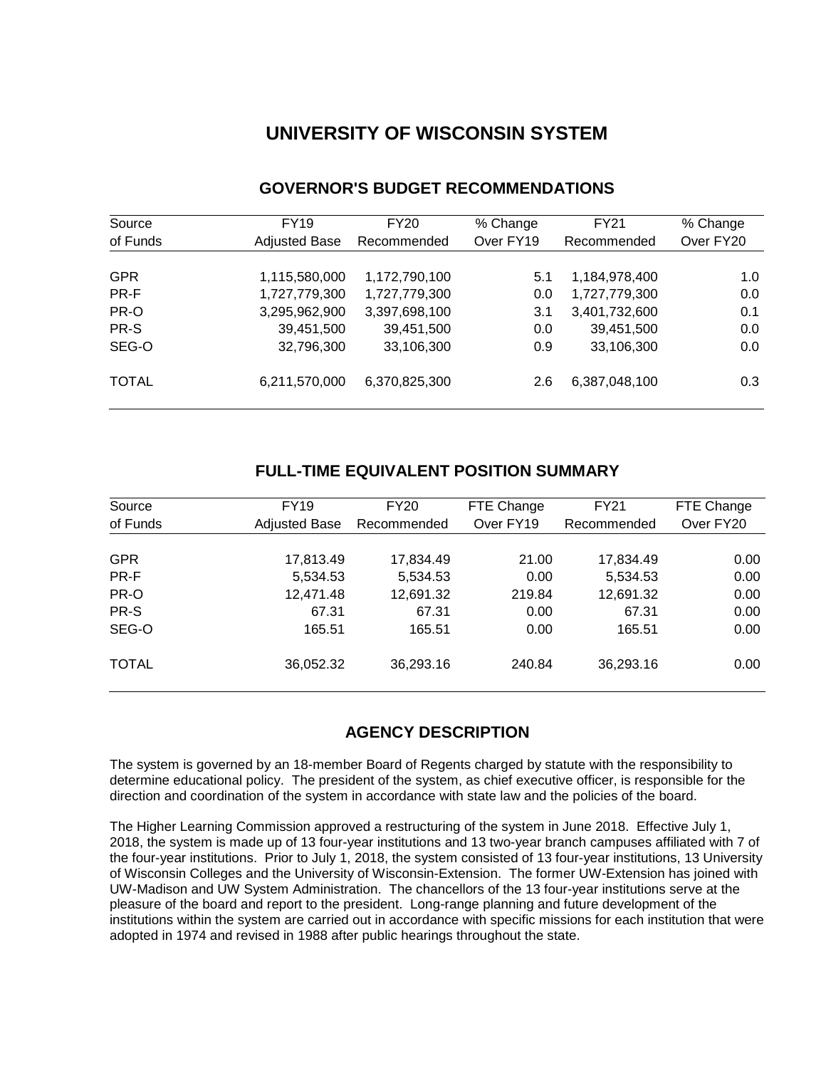# **UNIVERSITY OF WISCONSIN SYSTEM**

| Source       | FY19                 | FY20          | % Change  | <b>FY21</b>   | % Change  |
|--------------|----------------------|---------------|-----------|---------------|-----------|
| of Funds     | <b>Adjusted Base</b> | Recommended   | Over FY19 | Recommended   | Over FY20 |
|              |                      |               |           |               |           |
| <b>GPR</b>   | 1,115,580,000        | 1,172,790,100 | 5.1       | 1,184,978,400 | 1.0       |
| PR-F         | 1,727,779,300        | 1,727,779,300 | 0.0       | 1,727,779,300 | 0.0       |
| PR-O         | 3,295,962,900        | 3,397,698,100 | 3.1       | 3,401,732,600 | 0.1       |
| PR-S         | 39,451,500           | 39,451,500    | 0.0       | 39,451,500    | 0.0       |
| SEG-O        | 32,796,300           | 33,106,300    | 0.9       | 33,106,300    | 0.0       |
| <b>TOTAL</b> | 6,211,570,000        | 6,370,825,300 | 2.6       | 6,387,048,100 | 0.3       |

# **GOVERNOR'S BUDGET RECOMMENDATIONS**

# **FULL-TIME EQUIVALENT POSITION SUMMARY**

| FY19<br>Source<br>of Funds<br><b>Adjusted Base</b> |           | <b>FY20</b><br>Recommended | FTE Change<br>Over FY19 | FY21<br>Recommended | FTE Change<br>Over FY20 |
|----------------------------------------------------|-----------|----------------------------|-------------------------|---------------------|-------------------------|
| <b>GPR</b>                                         | 17,813.49 | 17,834.49                  | 21.00                   | 17,834.49           | 0.00                    |
| PR-F                                               | 5,534.53  | 5,534.53                   | 0.00                    | 5,534.53            | 0.00                    |
| PR-O                                               | 12,471.48 | 12,691.32                  | 219.84                  | 12,691.32           | 0.00                    |
| PR-S                                               | 67.31     | 67.31                      | 0.00                    | 67.31               | 0.00                    |
| SEG-O                                              | 165.51    | 165.51                     | 0.00                    | 165.51              | 0.00                    |
| <b>TOTAL</b>                                       | 36,052.32 | 36,293.16                  | 240.84                  | 36,293.16           | 0.00                    |

# **AGENCY DESCRIPTION**

The system is governed by an 18-member Board of Regents charged by statute with the responsibility to determine educational policy. The president of the system, as chief executive officer, is responsible for the direction and coordination of the system in accordance with state law and the policies of the board.

The Higher Learning Commission approved a restructuring of the system in June 2018. Effective July 1, 2018, the system is made up of 13 four-year institutions and 13 two-year branch campuses affiliated with 7 of the four-year institutions. Prior to July 1, 2018, the system consisted of 13 four-year institutions, 13 University of Wisconsin Colleges and the University of Wisconsin-Extension. The former UW-Extension has joined with UW-Madison and UW System Administration. The chancellors of the 13 four-year institutions serve at the pleasure of the board and report to the president. Long-range planning and future development of the institutions within the system are carried out in accordance with specific missions for each institution that were adopted in 1974 and revised in 1988 after public hearings throughout the state.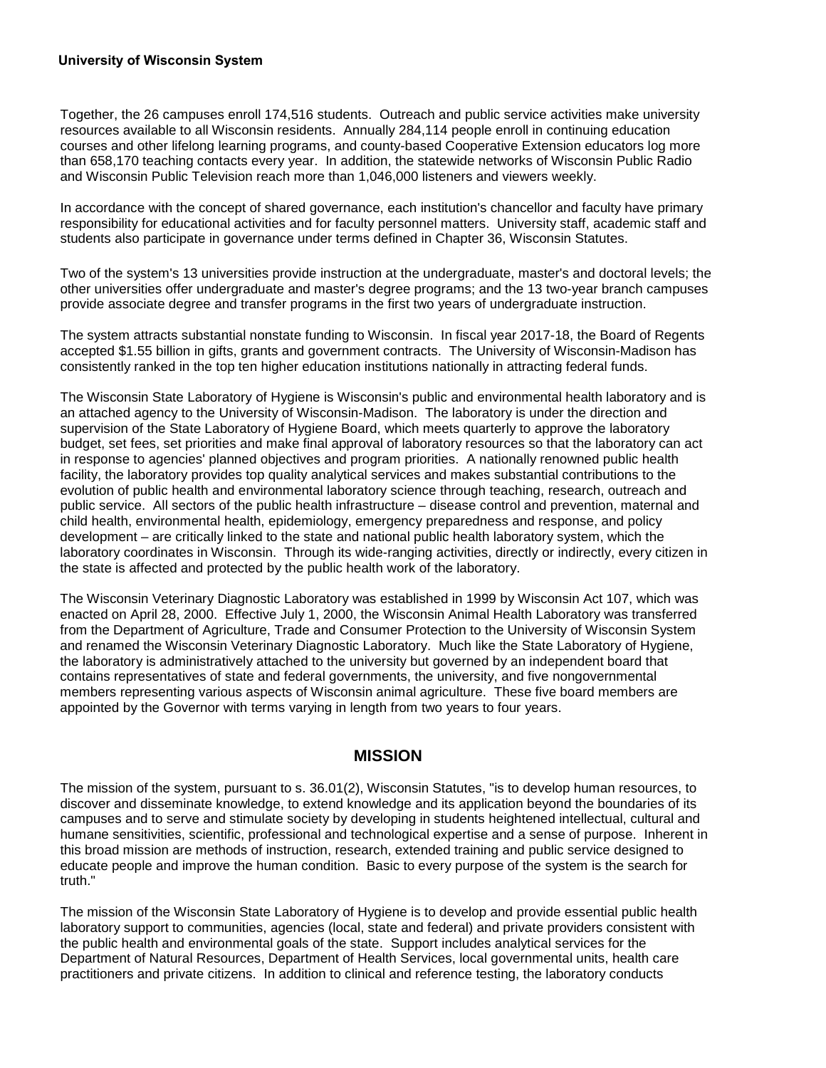#### **University of Wisconsin System**

Together, the 26 campuses enroll 174,516 students. Outreach and public service activities make university resources available to all Wisconsin residents. Annually 284,114 people enroll in continuing education courses and other lifelong learning programs, and county-based Cooperative Extension educators log more than 658,170 teaching contacts every year. In addition, the statewide networks of Wisconsin Public Radio and Wisconsin Public Television reach more than 1,046,000 listeners and viewers weekly.

In accordance with the concept of shared governance, each institution's chancellor and faculty have primary responsibility for educational activities and for faculty personnel matters. University staff, academic staff and students also participate in governance under terms defined in Chapter 36, Wisconsin Statutes.

Two of the system's 13 universities provide instruction at the undergraduate, master's and doctoral levels; the other universities offer undergraduate and master's degree programs; and the 13 two-year branch campuses provide associate degree and transfer programs in the first two years of undergraduate instruction.

The system attracts substantial nonstate funding to Wisconsin. In fiscal year 2017-18, the Board of Regents accepted \$1.55 billion in gifts, grants and government contracts. The University of Wisconsin-Madison has consistently ranked in the top ten higher education institutions nationally in attracting federal funds.

The Wisconsin State Laboratory of Hygiene is Wisconsin's public and environmental health laboratory and is an attached agency to the University of Wisconsin-Madison. The laboratory is under the direction and supervision of the State Laboratory of Hygiene Board, which meets quarterly to approve the laboratory budget, set fees, set priorities and make final approval of laboratory resources so that the laboratory can act in response to agencies' planned objectives and program priorities. A nationally renowned public health facility, the laboratory provides top quality analytical services and makes substantial contributions to the evolution of public health and environmental laboratory science through teaching, research, outreach and public service. All sectors of the public health infrastructure – disease control and prevention, maternal and child health, environmental health, epidemiology, emergency preparedness and response, and policy development – are critically linked to the state and national public health laboratory system, which the laboratory coordinates in Wisconsin. Through its wide-ranging activities, directly or indirectly, every citizen in the state is affected and protected by the public health work of the laboratory.

The Wisconsin Veterinary Diagnostic Laboratory was established in 1999 by Wisconsin Act 107, which was enacted on April 28, 2000. Effective July 1, 2000, the Wisconsin Animal Health Laboratory was transferred from the Department of Agriculture, Trade and Consumer Protection to the University of Wisconsin System and renamed the Wisconsin Veterinary Diagnostic Laboratory. Much like the State Laboratory of Hygiene, the laboratory is administratively attached to the university but governed by an independent board that contains representatives of state and federal governments, the university, and five nongovernmental members representing various aspects of Wisconsin animal agriculture. These five board members are appointed by the Governor with terms varying in length from two years to four years.

## **MISSION**

The mission of the system, pursuant to s. 36.01(2), Wisconsin Statutes, "is to develop human resources, to discover and disseminate knowledge, to extend knowledge and its application beyond the boundaries of its campuses and to serve and stimulate society by developing in students heightened intellectual, cultural and humane sensitivities, scientific, professional and technological expertise and a sense of purpose. Inherent in this broad mission are methods of instruction, research, extended training and public service designed to educate people and improve the human condition. Basic to every purpose of the system is the search for truth."

The mission of the Wisconsin State Laboratory of Hygiene is to develop and provide essential public health laboratory support to communities, agencies (local, state and federal) and private providers consistent with the public health and environmental goals of the state. Support includes analytical services for the Department of Natural Resources, Department of Health Services, local governmental units, health care practitioners and private citizens. In addition to clinical and reference testing, the laboratory conducts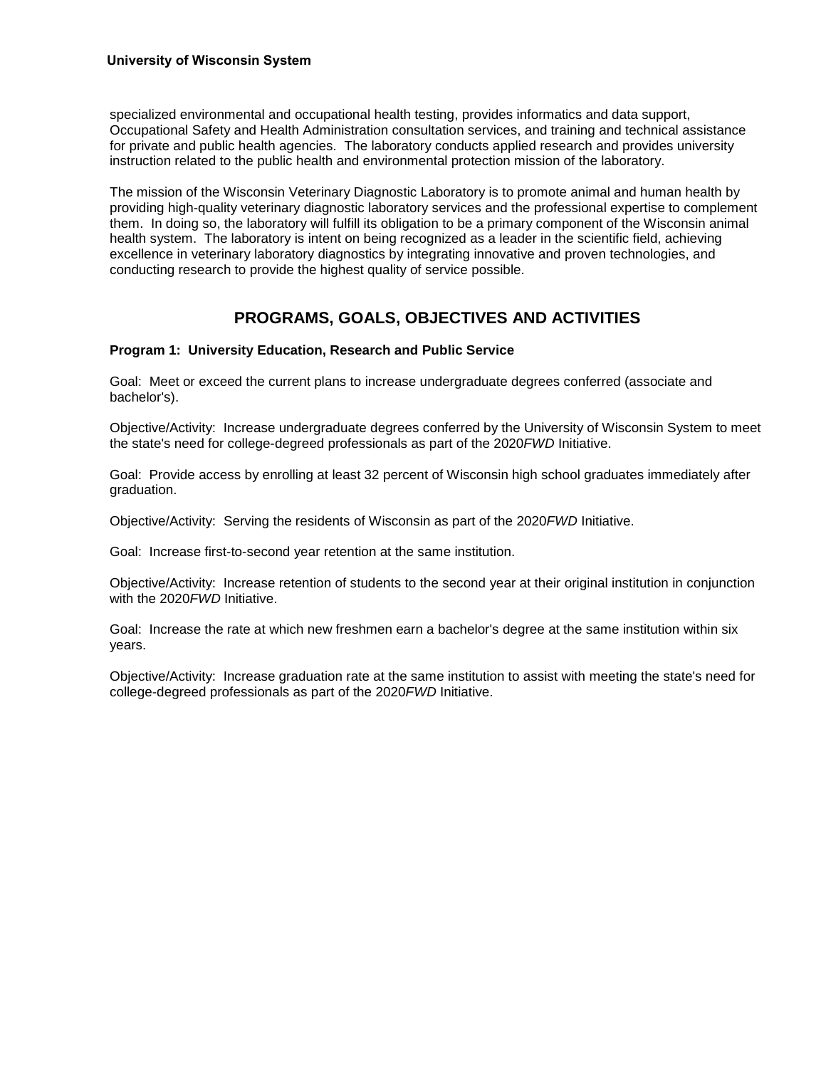#### **University of Wisconsin System**

specialized environmental and occupational health testing, provides informatics and data support, Occupational Safety and Health Administration consultation services, and training and technical assistance for private and public health agencies. The laboratory conducts applied research and provides university instruction related to the public health and environmental protection mission of the laboratory.

The mission of the Wisconsin Veterinary Diagnostic Laboratory is to promote animal and human health by providing high-quality veterinary diagnostic laboratory services and the professional expertise to complement them. In doing so, the laboratory will fulfill its obligation to be a primary component of the Wisconsin animal health system. The laboratory is intent on being recognized as a leader in the scientific field, achieving excellence in veterinary laboratory diagnostics by integrating innovative and proven technologies, and conducting research to provide the highest quality of service possible.

# **PROGRAMS, GOALS, OBJECTIVES AND ACTIVITIES**

#### **Program 1: University Education, Research and Public Service**

Goal: Meet or exceed the current plans to increase undergraduate degrees conferred (associate and bachelor's).

Objective/Activity: Increase undergraduate degrees conferred by the University of Wisconsin System to meet the state's need for college-degreed professionals as part of the 2020*FWD* Initiative.

Goal: Provide access by enrolling at least 32 percent of Wisconsin high school graduates immediately after graduation.

Objective/Activity: Serving the residents of Wisconsin as part of the 2020*FWD* Initiative.

Goal: Increase first-to-second year retention at the same institution.

Objective/Activity: Increase retention of students to the second year at their original institution in conjunction with the 2020*FWD* Initiative.

Goal: Increase the rate at which new freshmen earn a bachelor's degree at the same institution within six years.

Objective/Activity: Increase graduation rate at the same institution to assist with meeting the state's need for college-degreed professionals as part of the 2020*FWD* Initiative.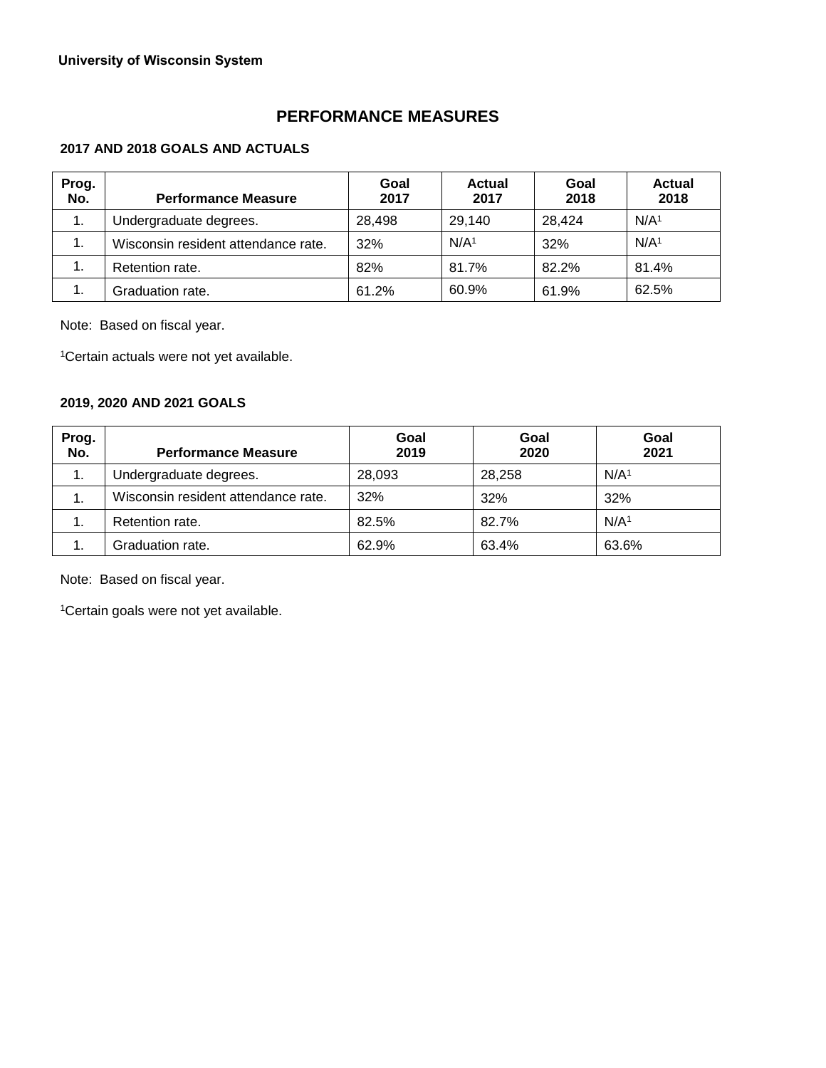# **PERFORMANCE MEASURES**

## **2017 AND 2018 GOALS AND ACTUALS**

| Prog.<br>No.   | <b>Performance Measure</b>          | Goal<br>2017 | <b>Actual</b><br>2017 | Goal<br>2018 | <b>Actual</b><br>2018 |
|----------------|-------------------------------------|--------------|-----------------------|--------------|-----------------------|
| 1.             | Undergraduate degrees.              | 28,498       | 29,140                | 28.424       | N/A <sup>1</sup>      |
| $\mathbf{1}$ . | Wisconsin resident attendance rate. | 32%          | N/A <sup>1</sup>      | 32%          | N/A <sup>1</sup>      |
| 1.             | Retention rate.                     | 82%          | 81.7%                 | 82.2%        | 81.4%                 |
| 1.             | Graduation rate.                    | 61.2%        | 60.9%                 | 61.9%        | 62.5%                 |

Note: Based on fiscal year.

1Certain actuals were not yet available.

# **2019, 2020 AND 2021 GOALS**

| Prog.<br>No. | <b>Performance Measure</b>          | Goal<br>2019 | Goal<br>2020 | Goal<br>2021     |
|--------------|-------------------------------------|--------------|--------------|------------------|
| 1.           | Undergraduate degrees.              | 28,093       | 28,258       | N/A <sup>1</sup> |
| 1.           | Wisconsin resident attendance rate. | 32%          | 32%          | 32%              |
| 1.           | Retention rate.                     | 82.5%        | 82.7%        | N/A <sup>1</sup> |
| 1.           | Graduation rate.                    | 62.9%        | 63.4%        | 63.6%            |

Note: Based on fiscal year.

1Certain goals were not yet available.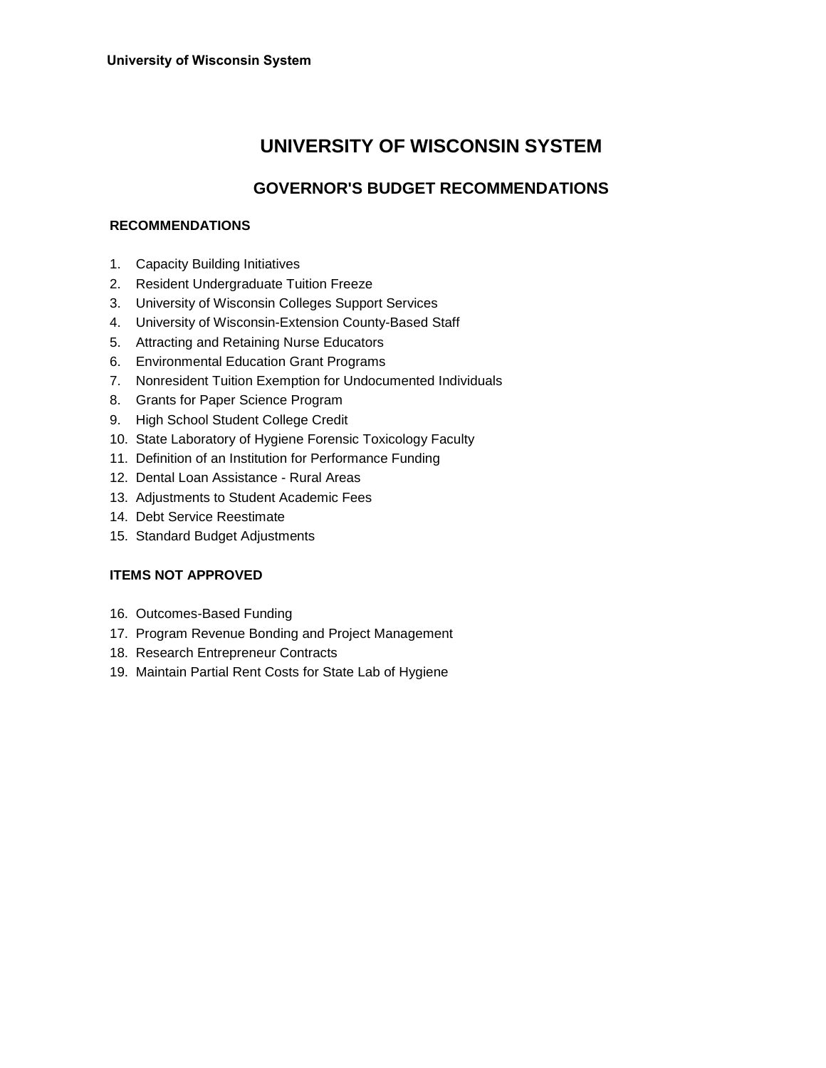# **UNIVERSITY OF WISCONSIN SYSTEM**

# **GOVERNOR'S BUDGET RECOMMENDATIONS**

## **RECOMMENDATIONS**

- 1. Capacity Building Initiatives
- 2. Resident Undergraduate Tuition Freeze
- 3. University of Wisconsin Colleges Support Services
- 4. University of Wisconsin-Extension County-Based Staff
- 5. Attracting and Retaining Nurse Educators
- 6. Environmental Education Grant Programs
- 7. Nonresident Tuition Exemption for Undocumented Individuals
- 8. Grants for Paper Science Program
- 9. High School Student College Credit
- 10. State Laboratory of Hygiene Forensic Toxicology Faculty
- 11. Definition of an Institution for Performance Funding
- 12. Dental Loan Assistance Rural Areas
- 13. Adjustments to Student Academic Fees
- 14. Debt Service Reestimate
- 15. Standard Budget Adjustments

## **ITEMS NOT APPROVED**

- 16. Outcomes-Based Funding
- 17. Program Revenue Bonding and Project Management
- 18. Research Entrepreneur Contracts
- 19. Maintain Partial Rent Costs for State Lab of Hygiene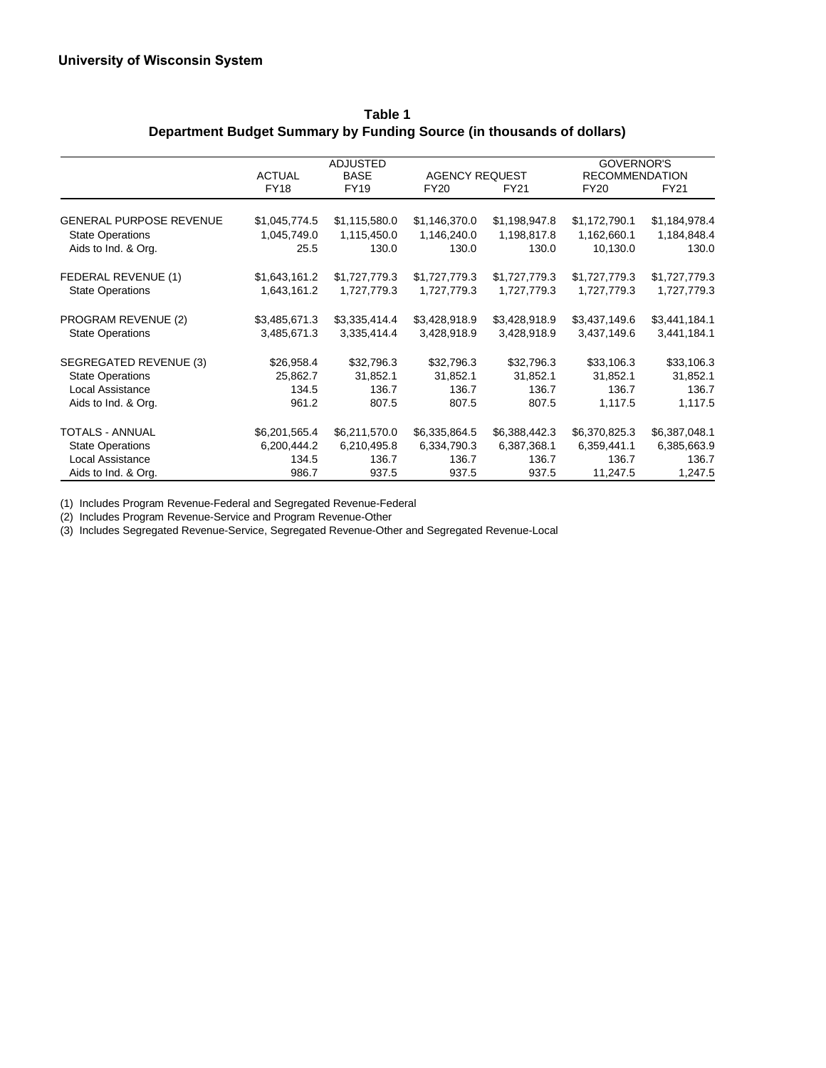|                                |               | <b>ADJUSTED</b> |                       |               | <b>GOVERNOR'S</b>     |               |
|--------------------------------|---------------|-----------------|-----------------------|---------------|-----------------------|---------------|
|                                | <b>ACTUAL</b> | <b>BASE</b>     | <b>AGENCY REQUEST</b> |               | <b>RECOMMENDATION</b> |               |
|                                | <b>FY18</b>   | <b>FY19</b>     | <b>FY20</b>           | FY21          | <b>FY20</b>           | <b>FY21</b>   |
| <b>GENERAL PURPOSE REVENUE</b> | \$1,045,774.5 | \$1,115,580.0   | \$1,146,370.0         | \$1,198,947.8 | \$1,172,790.1         | \$1,184,978.4 |
| <b>State Operations</b>        | 1,045,749.0   | 1,115,450.0     | 1,146,240.0           | 1,198,817.8   | 1,162,660.1           | 1,184,848.4   |
| Aids to Ind. & Org.            | 25.5          | 130.0           | 130.0                 | 130.0         | 10,130.0              | 130.0         |
| FEDERAL REVENUE (1)            | \$1,643,161.2 | \$1,727,779.3   | \$1,727,779.3         | \$1,727,779.3 | \$1,727,779.3         | \$1,727,779.3 |
| <b>State Operations</b>        | 1,643,161.2   | 1,727,779.3     | 1,727,779.3           | 1,727,779.3   | 1,727,779.3           | 1,727,779.3   |
| PROGRAM REVENUE (2)            | \$3,485,671.3 | \$3,335,414.4   | \$3,428,918.9         | \$3,428,918.9 | \$3,437,149.6         | \$3,441,184.1 |
| <b>State Operations</b>        | 3,485,671.3   | 3,335,414.4     | 3,428,918.9           | 3,428,918.9   | 3,437,149.6           | 3,441,184.1   |
| SEGREGATED REVENUE (3)         | \$26,958.4    | \$32,796.3      | \$32,796.3            | \$32,796.3    | \$33,106.3            | \$33,106.3    |
| <b>State Operations</b>        | 25,862.7      | 31,852.1        | 31,852.1              | 31,852.1      | 31,852.1              | 31,852.1      |
| Local Assistance               | 134.5         | 136.7           | 136.7                 | 136.7         | 136.7                 | 136.7         |
| Aids to Ind. & Org.            | 961.2         | 807.5           | 807.5                 | 807.5         | 1,117.5               | 1,117.5       |
| <b>TOTALS - ANNUAL</b>         | \$6,201,565.4 | \$6,211,570.0   | \$6,335,864.5         | \$6,388,442.3 | \$6,370,825.3         | \$6,387,048.1 |
| <b>State Operations</b>        | 6,200,444.2   | 6,210,495.8     | 6,334,790.3           | 6,387,368.1   | 6,359,441.1           | 6,385,663.9   |
| Local Assistance               | 134.5         | 136.7           | 136.7                 | 136.7         | 136.7                 | 136.7         |
| Aids to Ind. & Org.            | 986.7         | 937.5           | 937.5                 | 937.5         | 11,247.5              | 1,247.5       |

**Table 1 Department Budget Summary by Funding Source (in thousands of dollars)**

(1) Includes Program Revenue-Federal and Segregated Revenue-Federal

(2) Includes Program Revenue-Service and Program Revenue-Other

(3) Includes Segregated Revenue-Service, Segregated Revenue-Other and Segregated Revenue-Local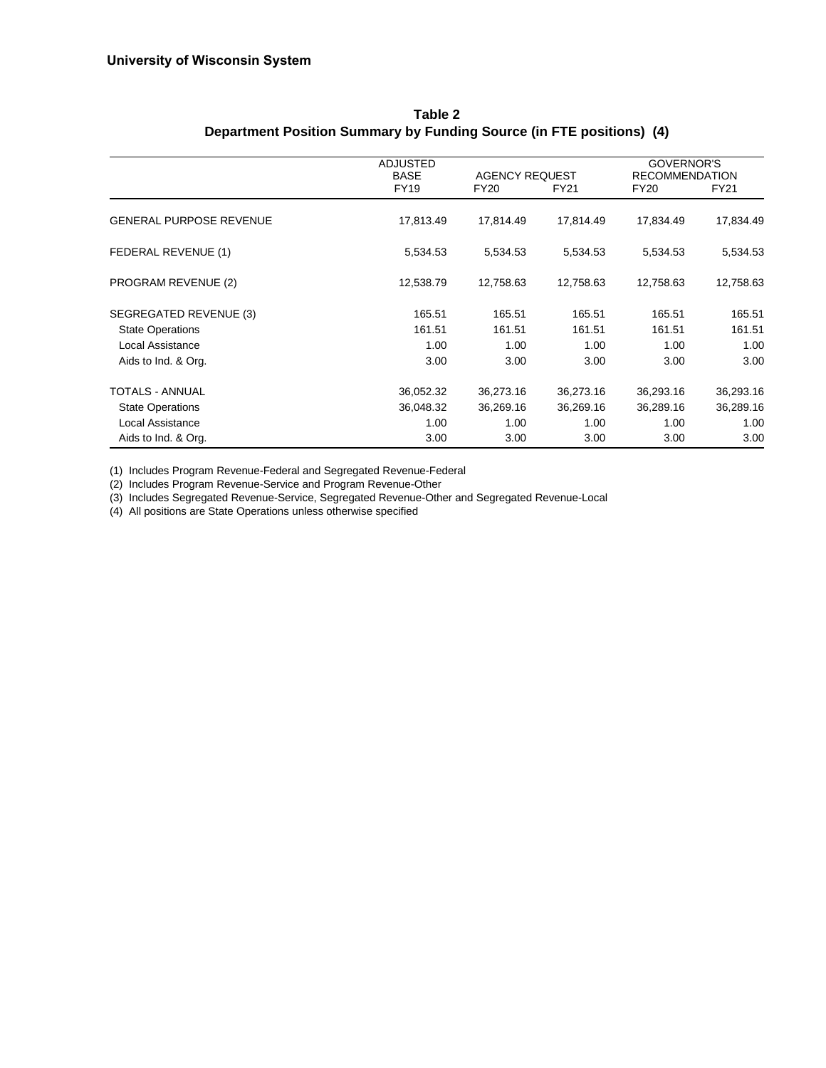|                                | <b>ADJUSTED</b><br><b>BASE</b> | <b>AGENCY REQUEST</b> |           | GOVERNOR'S<br><b>RECOMMENDATION</b> |           |
|--------------------------------|--------------------------------|-----------------------|-----------|-------------------------------------|-----------|
|                                | <b>FY19</b>                    | <b>FY20</b>           | FY21      | <b>FY20</b>                         | FY21      |
| <b>GENERAL PURPOSE REVENUE</b> | 17,813.49                      | 17,814.49             | 17,814.49 | 17,834.49                           | 17,834.49 |
| FEDERAL REVENUE (1)            | 5,534.53                       | 5,534.53              | 5,534.53  | 5,534.53                            | 5,534.53  |
| PROGRAM REVENUE (2)            | 12,538.79                      | 12,758.63             | 12,758.63 | 12,758.63                           | 12,758.63 |
| SEGREGATED REVENUE (3)         | 165.51                         | 165.51                | 165.51    | 165.51                              | 165.51    |
| <b>State Operations</b>        | 161.51                         | 161.51                | 161.51    | 161.51                              | 161.51    |
| Local Assistance               | 1.00                           | 1.00                  | 1.00      | 1.00                                | 1.00      |
| Aids to Ind. & Org.            | 3.00                           | 3.00                  | 3.00      | 3.00                                | 3.00      |
| TOTALS - ANNUAL                | 36,052.32                      | 36,273.16             | 36,273.16 | 36,293.16                           | 36,293.16 |
| <b>State Operations</b>        | 36,048.32                      | 36,269.16             | 36,269.16 | 36,289.16                           | 36,289.16 |
| Local Assistance               | 1.00                           | 1.00                  | 1.00      | 1.00                                | 1.00      |
| Aids to Ind. & Org.            | 3.00                           | 3.00                  | 3.00      | 3.00                                | 3.00      |

**Table 2 Department Position Summary by Funding Source (in FTE positions) (4)**

(1) Includes Program Revenue-Federal and Segregated Revenue-Federal

(2) Includes Program Revenue-Service and Program Revenue-Other

(3) Includes Segregated Revenue-Service, Segregated Revenue-Other and Segregated Revenue-Local

(4) All positions are State Operations unless otherwise specified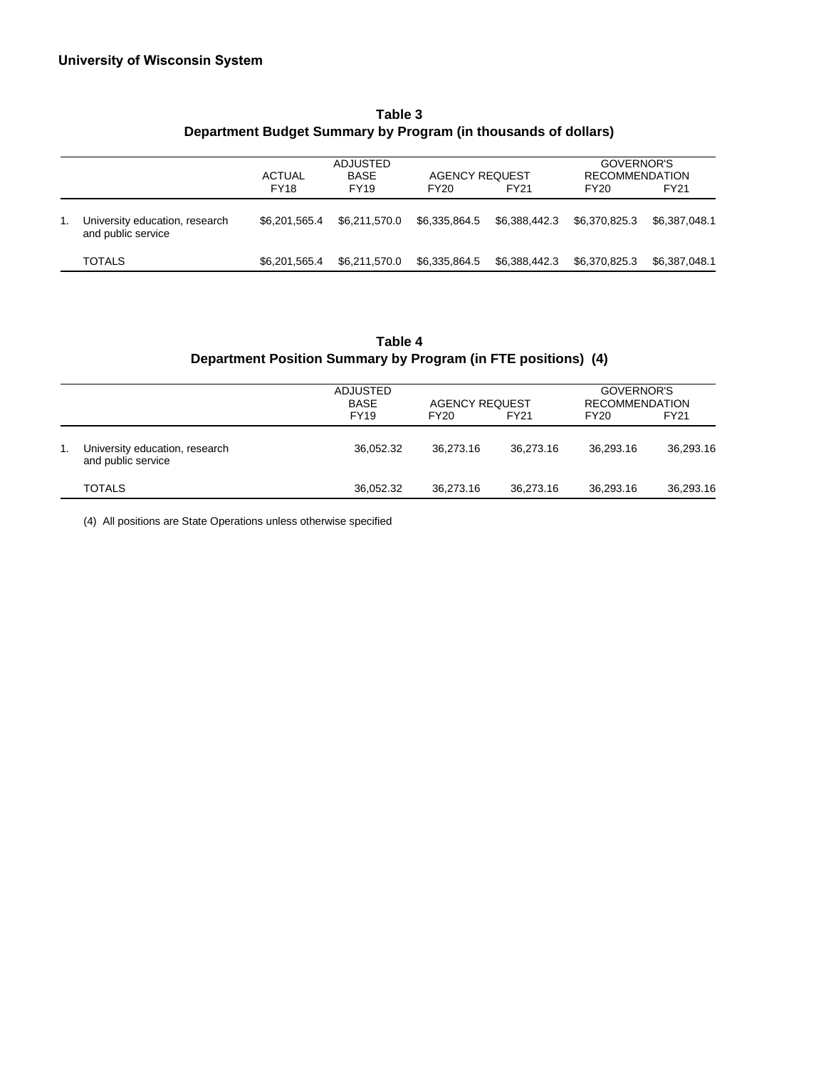|    |                                                      | <b>ACTUAL</b> | <b>ADJUSTED</b><br><b>BASE</b> | <b>AGENCY REQUEST</b> |               | GOVERNOR'S<br><b>RECOMMENDATION</b> |               |  |
|----|------------------------------------------------------|---------------|--------------------------------|-----------------------|---------------|-------------------------------------|---------------|--|
|    |                                                      | <b>FY18</b>   | <b>FY19</b>                    | FY20                  | FY21          | FY20                                | <b>FY21</b>   |  |
| 1. | University education, research<br>and public service | \$6.201.565.4 | \$6.211.570.0                  | \$6,335,864.5         | \$6.388.442.3 | \$6.370.825.3                       | \$6.387.048.1 |  |
|    | <b>TOTALS</b>                                        | \$6,201,565.4 | \$6.211.570.0                  | \$6,335,864.5         | \$6,388,442.3 | \$6,370,825.3                       | \$6,387,048.1 |  |

## **Table 3 Department Budget Summary by Program (in thousands of dollars)**

# **Table 4 Department Position Summary by Program (in FTE positions) (4)**

|    |                                                      | <b>ADJUSTED</b><br><b>BASE</b><br><b>FY19</b> | <b>AGENCY REQUEST</b><br>FY20 | FY <sub>21</sub> | GOVERNOR'S<br><b>RECOMMENDATION</b><br>FY20 | <b>FY21</b> |
|----|------------------------------------------------------|-----------------------------------------------|-------------------------------|------------------|---------------------------------------------|-------------|
| 1. | University education, research<br>and public service | 36.052.32                                     | 36.273.16                     | 36.273.16        | 36.293.16                                   | 36.293.16   |
|    | <b>TOTALS</b>                                        | 36,052.32                                     | 36.273.16                     | 36.273.16        | 36,293.16                                   | 36,293.16   |

(4) All positions are State Operations unless otherwise specified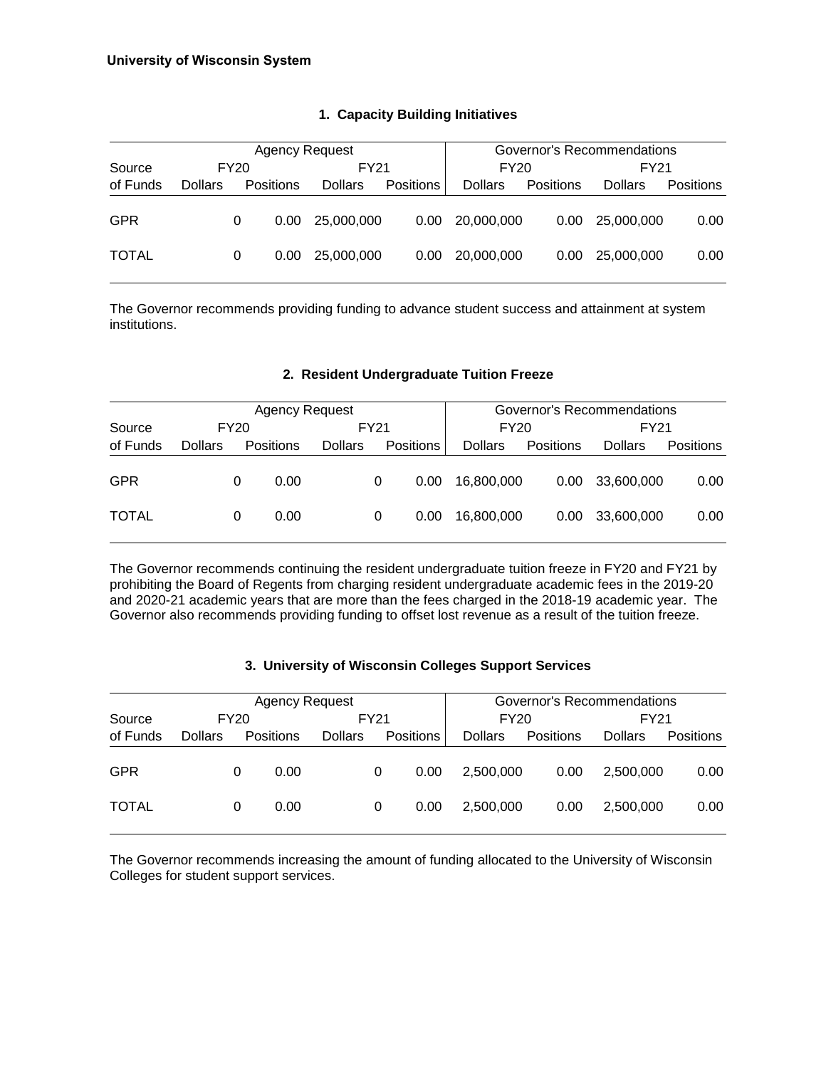|              |                |      | Agency Request    |                |                  | Governor's Recommendations |                  |                |           |  |
|--------------|----------------|------|-------------------|----------------|------------------|----------------------------|------------------|----------------|-----------|--|
| Source       |                | FY20 |                   | FY21           |                  | FY20                       |                  |                | FY21      |  |
| of Funds     | <b>Dollars</b> |      | <b>Positions</b>  | <b>Dollars</b> | <b>Positions</b> | <b>Dollars</b>             | <b>Positions</b> | <b>Dollars</b> | Positions |  |
| <b>GPR</b>   |                |      | 0.00 <sub>1</sub> | 25,000,000     | 0.00             | 20,000,000                 | 0.00             | 25,000,000     | 0.00      |  |
| <b>TOTAL</b> |                | 0    | 0.00              | 25,000,000     | 0.00             | 20,000,000                 | 0.00             | 25,000,000     | 0.00      |  |

## **1. Capacity Building Initiatives**

The Governor recommends providing funding to advance student success and attainment at system institutions.

#### **2. Resident Undergraduate Tuition Freeze**

|              |                |             | <b>Agency Request</b> |                |      |                  | Governor's Recommendations |           |                |                  |
|--------------|----------------|-------------|-----------------------|----------------|------|------------------|----------------------------|-----------|----------------|------------------|
| Source       |                | <b>FY20</b> |                       |                | FY21 |                  | FY20                       |           | FY21           |                  |
| of Funds     | <b>Dollars</b> |             | Positions             | <b>Dollars</b> |      | <b>Positions</b> | <b>Dollars</b>             | Positions | <b>Dollars</b> | <b>Positions</b> |
| <b>GPR</b>   |                | 0           | 0.00                  |                | 0    | 0.00             | 16.800.000                 | 0.00      | 33,600,000     | 0.00             |
| <b>TOTAL</b> |                | 0           | 0.00                  |                | 0    | 0.00             | 16,800,000                 | 0.00      | 33,600,000     | 0.00             |

The Governor recommends continuing the resident undergraduate tuition freeze in FY20 and FY21 by prohibiting the Board of Regents from charging resident undergraduate academic fees in the 2019-20 and 2020-21 academic years that are more than the fees charged in the 2018-19 academic year. The Governor also recommends providing funding to offset lost revenue as a result of the tuition freeze.

#### **3. University of Wisconsin Colleges Support Services**

| <b>Agency Request</b> |                |      |           |                |      |                  |                | Governor's Recommendations |                |                  |  |  |  |
|-----------------------|----------------|------|-----------|----------------|------|------------------|----------------|----------------------------|----------------|------------------|--|--|--|
| Source                |                | FY20 |           |                | FY21 |                  | FY20           |                            | FY21           |                  |  |  |  |
| of Funds              | <b>Dollars</b> |      | Positions | <b>Dollars</b> |      | <b>Positions</b> | <b>Dollars</b> | Positions                  | <b>Dollars</b> | <b>Positions</b> |  |  |  |
| <b>GPR</b>            |                | 0    | 0.00      |                | 0    | 0.00             | 2,500,000      | 0.00                       | 2.500.000      | 0.00             |  |  |  |
| <b>TOTAL</b>          |                | 0    | 0.00      |                | 0    | 0.00             | 2,500,000      | 0.00                       | 2.500.000      | 0.00             |  |  |  |

The Governor recommends increasing the amount of funding allocated to the University of Wisconsin Colleges for student support services.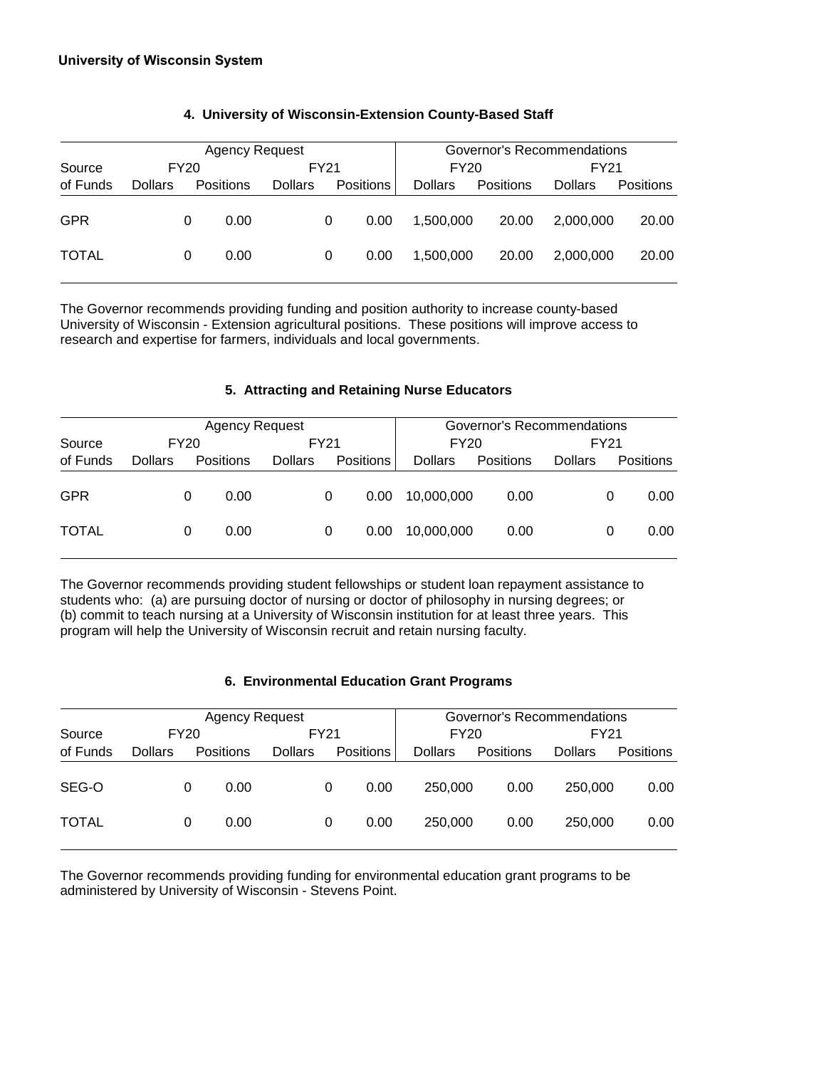|              |                |      | <b>Agency Request</b> |                | Governor's Recommendations |                  |                |           |                |                  |
|--------------|----------------|------|-----------------------|----------------|----------------------------|------------------|----------------|-----------|----------------|------------------|
| Source       |                | FY20 |                       |                | FY21                       |                  | <b>FY20</b>    |           | FY21           |                  |
| of Funds     | <b>Dollars</b> |      | <b>Positions</b>      | <b>Dollars</b> |                            | <b>Positions</b> | <b>Dollars</b> | Positions | <b>Dollars</b> | <b>Positions</b> |
| <b>GPR</b>   |                | 0    | 0.00                  |                | 0                          | 0.00             | 1,500,000      | 20.00     | 2,000,000      | 20.00            |
| <b>TOTAL</b> |                | 0    | 0.00                  |                | 0                          | 0.00             | 1.500.000      | 20.00     | 2.000.000      | 20.00            |

## **4. University of Wisconsin-Extension County-Based Staff**

The Governor recommends providing funding and position authority to increase county-based University of Wisconsin - Extension agricultural positions. These positions will improve access to research and expertise for farmers, individuals and local governments.

#### **5. Attracting and Retaining Nurse Educators**

| <b>Agency Request</b> |                |             |                  |                |   | Governor's Recommendations |                |           |                |   |                  |
|-----------------------|----------------|-------------|------------------|----------------|---|----------------------------|----------------|-----------|----------------|---|------------------|
| Source                |                | <b>FY20</b> |                  | FY21           |   |                            | <b>FY20</b>    | FY21      |                |   |                  |
| of Funds              | <b>Dollars</b> |             | <b>Positions</b> | <b>Dollars</b> |   | <b>Positions</b>           | <b>Dollars</b> | Positions | <b>Dollars</b> |   | <b>Positions</b> |
| <b>GPR</b>            |                | O           | 0.00             |                | 0 | 0.00                       | 10.000.000     | 0.00      |                | O | 0.00             |
| <b>TOTAL</b>          |                | 0           | 0.00             |                | 0 | 0.00                       | 10,000,000     | 0.00      |                | 0 | 0.00             |

The Governor recommends providing student fellowships or student loan repayment assistance to students who: (a) are pursuing doctor of nursing or doctor of philosophy in nursing degrees; or (b) commit to teach nursing at a University of Wisconsin institution for at least three years. This program will help the University of Wisconsin recruit and retain nursing faculty.

#### **6. Environmental Education Grant Programs**

| <b>Agency Request</b> |                |      |                  |                |   | Governor's Recommendations |                |           |                |                  |  |
|-----------------------|----------------|------|------------------|----------------|---|----------------------------|----------------|-----------|----------------|------------------|--|
| Source                |                | FY20 |                  | FY21           |   |                            | <b>FY20</b>    |           | FY21           |                  |  |
| of Funds              | <b>Dollars</b> |      | <b>Positions</b> | <b>Dollars</b> |   | <b>Positions</b>           | <b>Dollars</b> | Positions | <b>Dollars</b> | <b>Positions</b> |  |
| SEG-O                 |                |      | 0.00             |                | 0 | 0.00                       | 250,000        | 0.00      | 250,000        | 0.00             |  |
| <b>TOTAL</b>          |                | 0    | 0.00             |                | 0 | 0.00                       | 250,000        | 0.00      | 250,000        | 0.00             |  |

The Governor recommends providing funding for environmental education grant programs to be administered by University of Wisconsin - Stevens Point.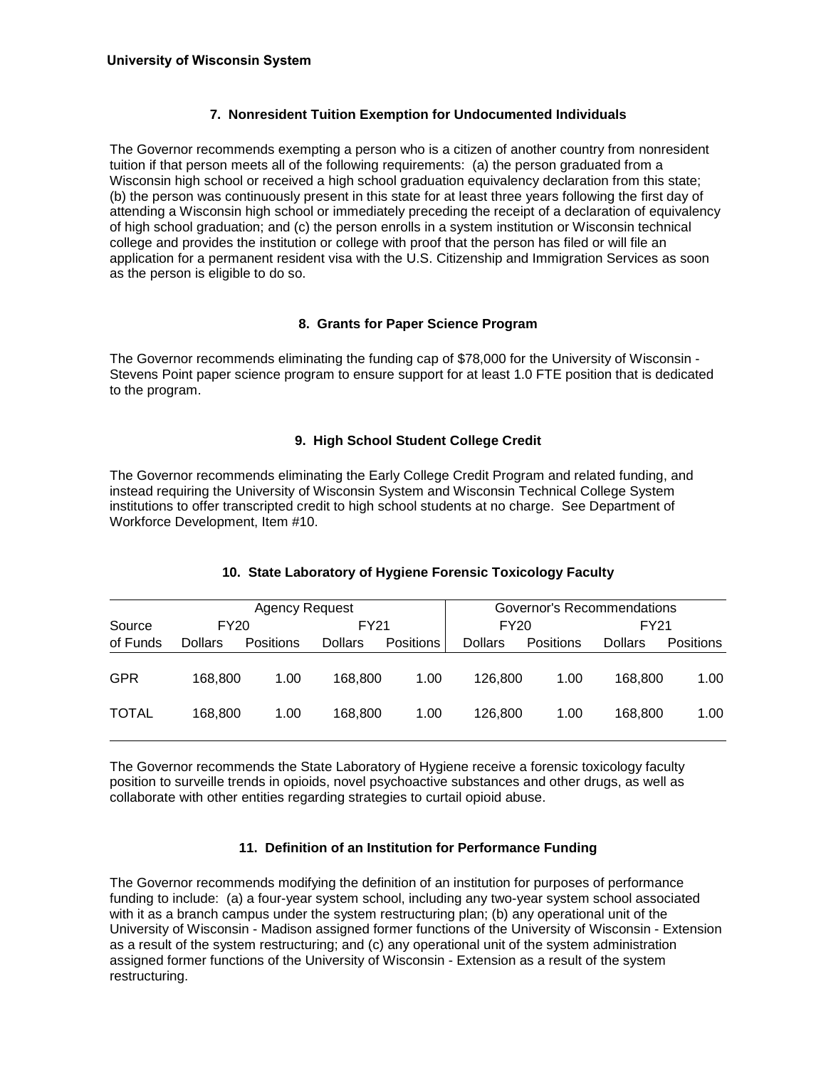## **7. Nonresident Tuition Exemption for Undocumented Individuals**

The Governor recommends exempting a person who is a citizen of another country from nonresident tuition if that person meets all of the following requirements: (a) the person graduated from a Wisconsin high school or received a high school graduation equivalency declaration from this state; (b) the person was continuously present in this state for at least three years following the first day of attending a Wisconsin high school or immediately preceding the receipt of a declaration of equivalency of high school graduation; and (c) the person enrolls in a system institution or Wisconsin technical college and provides the institution or college with proof that the person has filed or will file an application for a permanent resident visa with the U.S. Citizenship and Immigration Services as soon as the person is eligible to do so.

#### **8. Grants for Paper Science Program**

The Governor recommends eliminating the funding cap of \$78,000 for the University of Wisconsin - Stevens Point paper science program to ensure support for at least 1.0 FTE position that is dedicated to the program.

#### **9. High School Student College Credit**

The Governor recommends eliminating the Early College Credit Program and related funding, and instead requiring the University of Wisconsin System and Wisconsin Technical College System institutions to offer transcripted credit to high school students at no charge. See Department of Workforce Development, Item #10.

| Agency Request |                |           |                |                  |                | Governor's Recommendations |                |                  |  |  |
|----------------|----------------|-----------|----------------|------------------|----------------|----------------------------|----------------|------------------|--|--|
| Source         | FY20           |           | FY21           |                  | FY20           |                            |                | FY21             |  |  |
| of Funds       | <b>Dollars</b> | Positions | <b>Dollars</b> | <b>Positions</b> | <b>Dollars</b> | <b>Positions</b>           | <b>Dollars</b> | <b>Positions</b> |  |  |
|                |                |           |                |                  |                |                            |                |                  |  |  |
| GPR            | 168,800        | 1.00      | 168,800        | 1.00             | 126,800        | 1.00                       | 168.800        | 1.00             |  |  |
|                |                |           |                |                  |                |                            |                |                  |  |  |
| <b>TOTAL</b>   | 168,800        | 1.00      | 168,800        | 1.00             | 126.800        | 1.00                       | 168.800        | 1.00             |  |  |
|                |                |           |                |                  |                |                            |                |                  |  |  |

#### **10. State Laboratory of Hygiene Forensic Toxicology Faculty**

The Governor recommends the State Laboratory of Hygiene receive a forensic toxicology faculty position to surveille trends in opioids, novel psychoactive substances and other drugs, as well as collaborate with other entities regarding strategies to curtail opioid abuse.

#### **11. Definition of an Institution for Performance Funding**

The Governor recommends modifying the definition of an institution for purposes of performance funding to include: (a) a four-year system school, including any two-year system school associated with it as a branch campus under the system restructuring plan; (b) any operational unit of the University of Wisconsin - Madison assigned former functions of the University of Wisconsin - Extension as a result of the system restructuring; and (c) any operational unit of the system administration assigned former functions of the University of Wisconsin - Extension as a result of the system restructuring.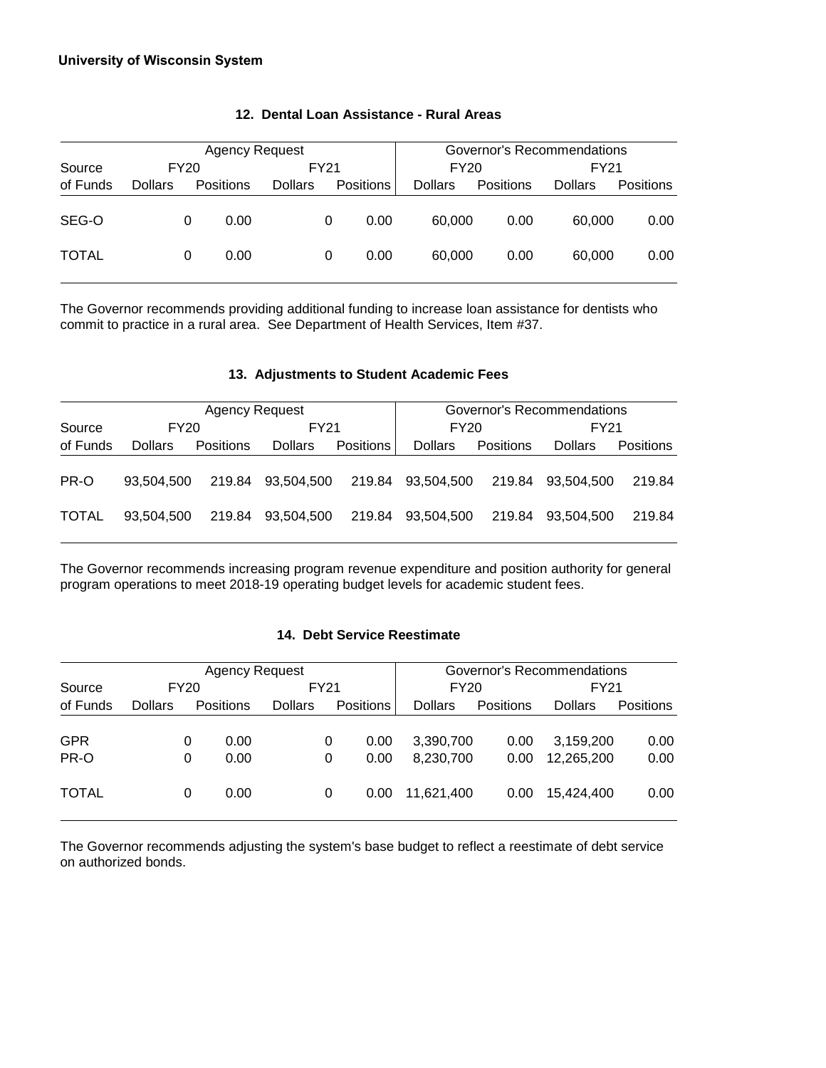#### **University of Wisconsin System**

| <b>Agency Request</b> |                |   |                  |                |   | Governor's Recommendations |                |           |                |                  |  |
|-----------------------|----------------|---|------------------|----------------|---|----------------------------|----------------|-----------|----------------|------------------|--|
| Source                | FY20           |   |                  | FY21           |   |                            | <b>FY20</b>    |           |                | FY21             |  |
| of Funds              | <b>Dollars</b> |   | <b>Positions</b> | <b>Dollars</b> |   | <b>Positions</b>           | <b>Dollars</b> | Positions | <b>Dollars</b> | <b>Positions</b> |  |
| SEG-O                 |                | 0 | 0.00             |                | 0 | 0.00                       | 60,000         | 0.00      | 60,000         | 0.00             |  |
| <b>TOTAL</b>          |                | 0 | 0.00             |                | 0 | 0.00                       | 60,000         | 0.00      | 60,000         | 0.00             |  |

#### **12. Dental Loan Assistance - Rural Areas**

The Governor recommends providing additional funding to increase loan assistance for dentists who commit to practice in a rural area. See Department of Health Services, Item #37.

#### **13. Adjustments to Student Academic Fees**

|              |            | Agency Request   |                   |                  | Governor's Recommendations |                  |                   |           |  |
|--------------|------------|------------------|-------------------|------------------|----------------------------|------------------|-------------------|-----------|--|
| Source       | FY20       |                  | FY21              |                  | FY20                       |                  | FY21              |           |  |
| of Funds     | Dollars    | <b>Positions</b> | <b>Dollars</b>    | <b>Positions</b> | <b>Dollars</b>             | <b>Positions</b> | <b>Dollars</b>    | Positions |  |
| PR-O         | 93.504.500 |                  | 219.84 93,504,500 |                  | 219.84 93,504,500          |                  | 219.84 93.504.500 | 219.84    |  |
| <b>TOTAL</b> | 93.504.500 |                  | 219.84 93,504,500 | 219.84           | 93,504,500                 |                  | 219.84 93.504.500 | 219.84    |  |

The Governor recommends increasing program revenue expenditure and position authority for general program operations to meet 2018-19 operating budget levels for academic student fees.

#### **14. Debt Service Reestimate**

| <b>Agency Request</b> |                |      |           |                | Governor's Recommendations |                  |                |                  |                |                  |
|-----------------------|----------------|------|-----------|----------------|----------------------------|------------------|----------------|------------------|----------------|------------------|
| Source                |                | FY20 |           | FY21           |                            | FY20             |                | FY21             |                |                  |
| of Funds              | <b>Dollars</b> |      | Positions | <b>Dollars</b> |                            | <b>Positions</b> | <b>Dollars</b> | <b>Positions</b> | <b>Dollars</b> | <b>Positions</b> |
|                       |                |      |           |                |                            |                  |                |                  |                |                  |
| <b>GPR</b>            |                | 0    | 0.00      |                | 0                          | 0.00             | 3,390,700      | 0.00             | 3,159,200      | 0.00             |
| PR-O                  |                | 0    | 0.00      |                | 0                          | 0.00             | 8,230,700      | 0.00             | 12,265,200     | 0.00             |
| <b>TOTAL</b>          |                | 0    | 0.00      |                | 0                          | 0.00             | 11.621.400     | 0.00             | 15.424.400     | 0.00             |

The Governor recommends adjusting the system's base budget to reflect a reestimate of debt service on authorized bonds.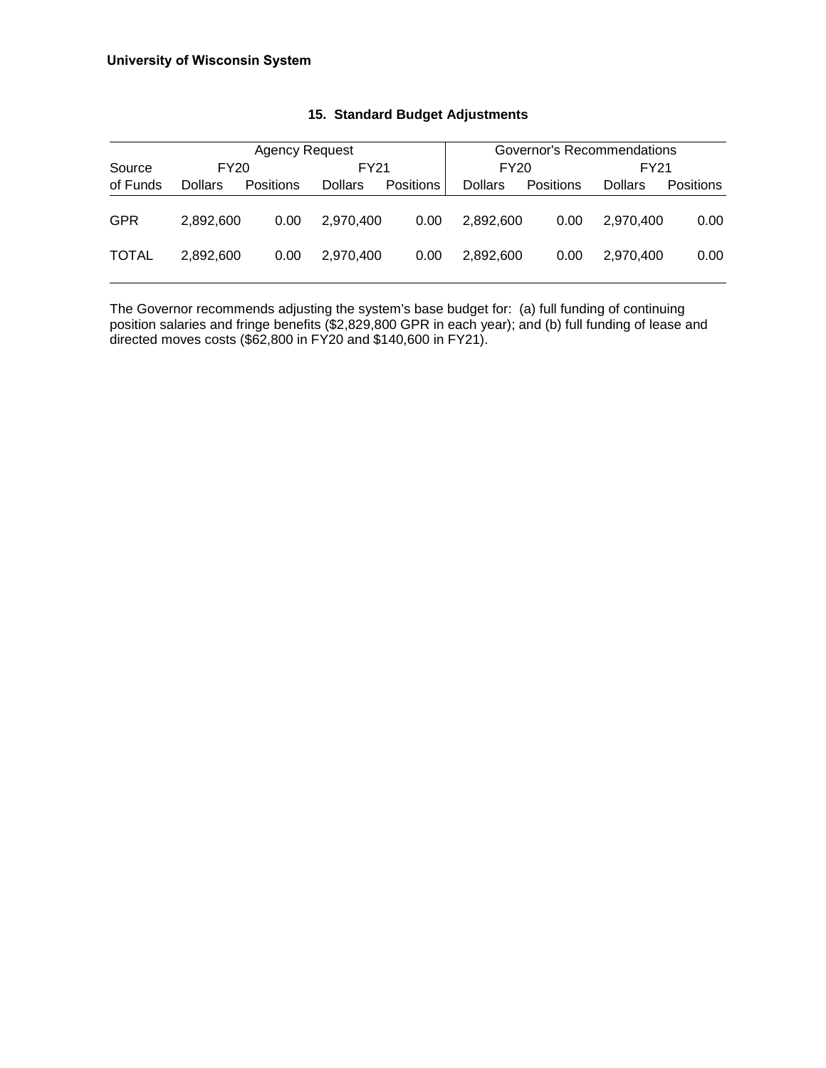|              |                | Agency Request   |                |           | Governor's Recommendations |                  |                |           |  |
|--------------|----------------|------------------|----------------|-----------|----------------------------|------------------|----------------|-----------|--|
| Source       |                | FY20             | FY21           |           | FY20                       |                  | FY21           |           |  |
| of Funds     | <b>Dollars</b> | <b>Positions</b> | <b>Dollars</b> | Positions | <b>Dollars</b>             | <b>Positions</b> | <b>Dollars</b> | Positions |  |
| <b>GPR</b>   | 2.892.600      | 0.00             | 2.970.400      | 0.00      | 2,892,600                  | 0.00             | 2.970.400      | 0.00      |  |
| <b>TOTAL</b> | 2.892.600      | 0.00             | 2.970.400      | 0.00      | 2,892,600                  | 0.00             | 2.970.400      | 0.00      |  |

#### **15. Standard Budget Adjustments**

The Governor recommends adjusting the system's base budget for: (a) full funding of continuing position salaries and fringe benefits (\$2,829,800 GPR in each year); and (b) full funding of lease and directed moves costs (\$62,800 in FY20 and \$140,600 in FY21).